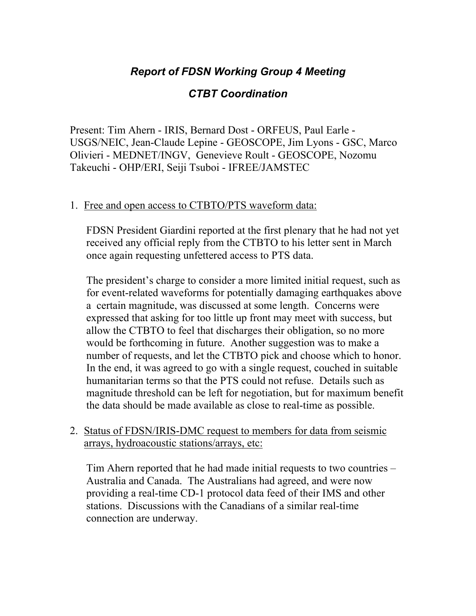# *Report of FDSN Working Group 4 Meeting*

# *CTBT Coordination*

Present: Tim Ahern - IRIS, Bernard Dost - ORFEUS, Paul Earle - USGS/NEIC, Jean-Claude Lepine - GEOSCOPE, Jim Lyons - GSC, Marco Olivieri - MEDNET/INGV, Genevieve Roult - GEOSCOPE, Nozomu Takeuchi - OHP/ERI, Seiji Tsuboi - IFREE/JAMSTEC

### 1. Free and open access to CTBTO/PTS waveform data:

FDSN President Giardini reported at the first plenary that he had not yet received any official reply from the CTBTO to his letter sent in March once again requesting unfettered access to PTS data.

The president's charge to consider a more limited initial request, such as for event-related waveforms for potentially damaging earthquakes above a certain magnitude, was discussed at some length. Concerns were expressed that asking for too little up front may meet with success, but allow the CTBTO to feel that discharges their obligation, so no more would be forthcoming in future. Another suggestion was to make a number of requests, and let the CTBTO pick and choose which to honor. In the end, it was agreed to go with a single request, couched in suitable humanitarian terms so that the PTS could not refuse. Details such as magnitude threshold can be left for negotiation, but for maximum benefit the data should be made available as close to real-time as possible.

#### 2. Status of FDSN/IRIS-DMC request to members for data from seismic arrays, hydroacoustic stations/arrays, etc:

Tim Ahern reported that he had made initial requests to two countries – Australia and Canada. The Australians had agreed, and were now providing a real-time CD-1 protocol data feed of their IMS and other stations. Discussions with the Canadians of a similar real-time connection are underway.